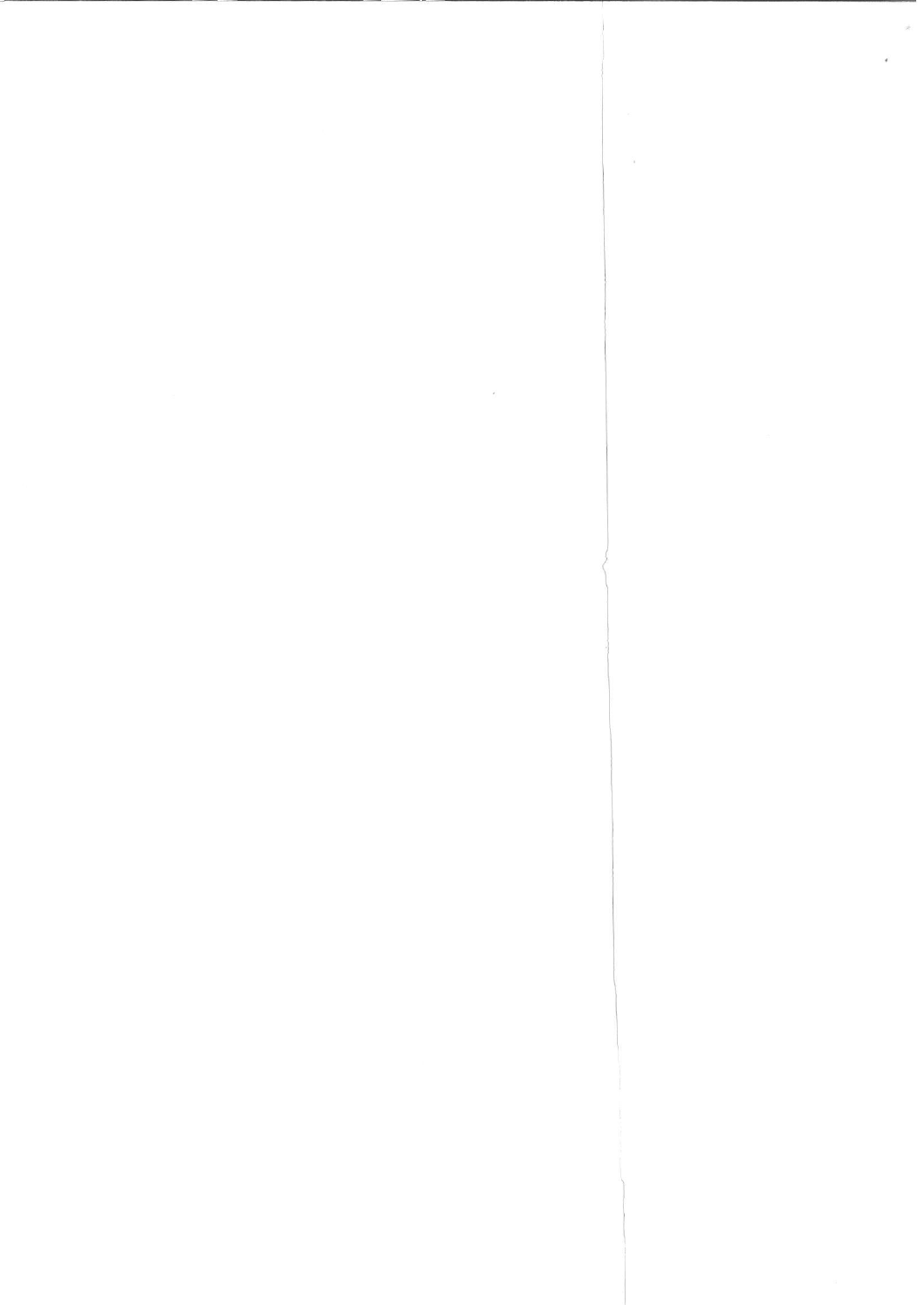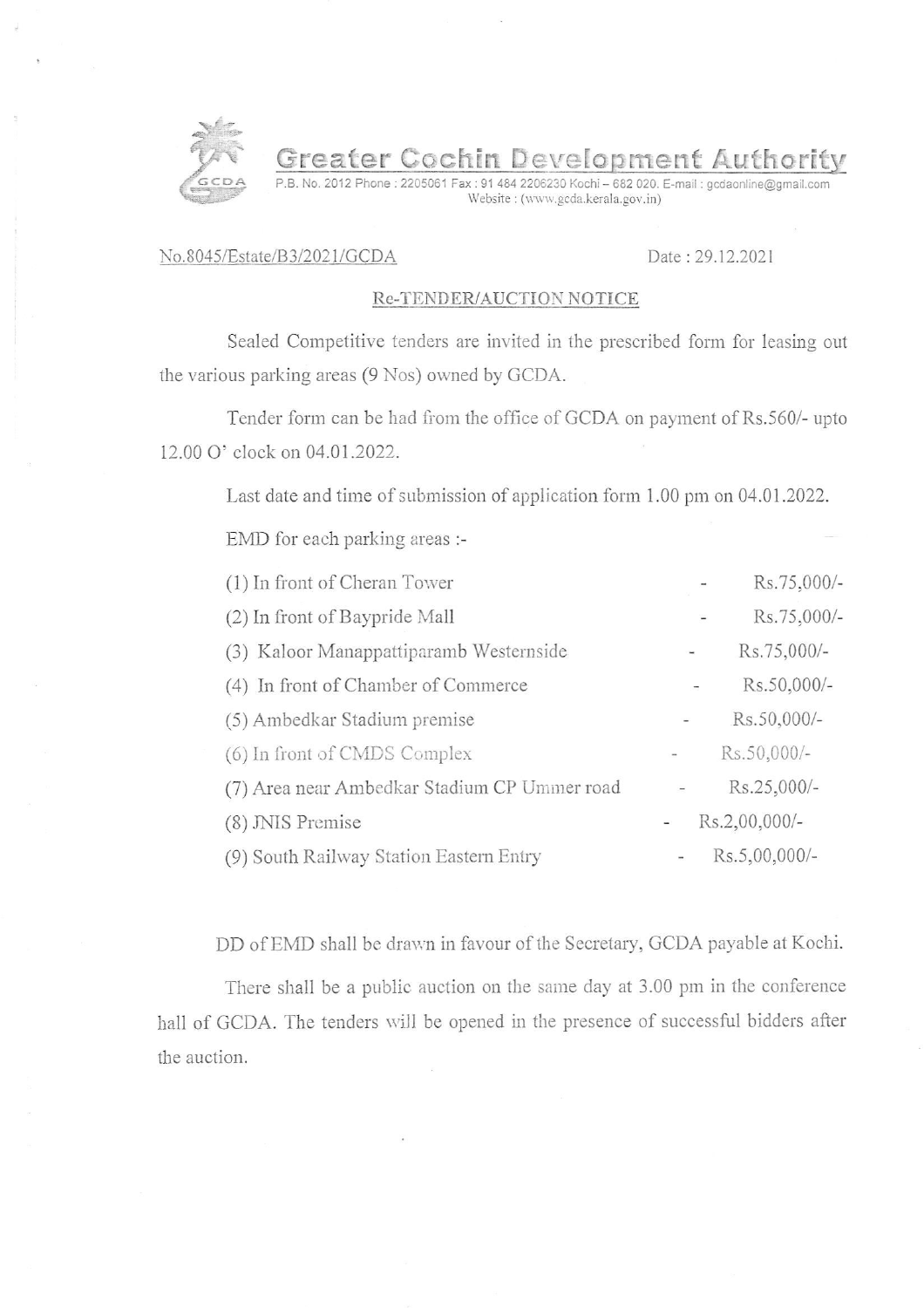Greater Cochin Development Authority P.B. No. 2012 Phone : 2205061 Fax : 91 484 2206230 Kochi - 682 020. E-mail : gcdaonline@gmail.com

Website : (www.gcda.kerala.gov.in)

## No.8045/Estate/B3/2021/GCDA Date: 29.12.2021

## Re-TENDER/AUCTION NOTICE

Sealed Competitive tenders are invited in the prescribed form for leasing out the various parking areas (9 Nos) owned by GCDA.

Tender form can be had from the office of GCDA on payment of Rs.560/- upto 12.00 O' clock on 04.01.2022.

Last date and time of submission of application form 1.00 pm on 04.01.2022.

EMD for each parking areas :-

| (1) In front of Cheran Tower                 |                | Rs.75,000/-   |
|----------------------------------------------|----------------|---------------|
| (2) In front of Baypride Mall                |                | Rs.75,000/-   |
| (3) Kaloor Manappattiparamb Westernside      |                | Rs.75,000/-   |
| (4) In front of Chamber of Commerce          |                | Rs.50,000/-   |
| (5) Ambedkar Stadium premise                 |                | Rs.50,000/-   |
| (6) In front of CMDS Complex                 | $\overline{a}$ | Rs.50,000/-   |
| (7) Area near Ambedkar Stadium CP Ummer road |                | Rs.25,000/-   |
| (8) JNIS Premise                             | Rs.2,00,000/-  |               |
| (9) South Railway Station Eastern Entry      |                | Rs.5,00,000/- |

DD of EMD shall be drawn in favour of the Secretary, GCDA payable at Kochi.

There shall be a public auction on the same day at 3.00 pm in the conference hall of GCDA. The tenders will be opened in the presence of successful bidders after the auction.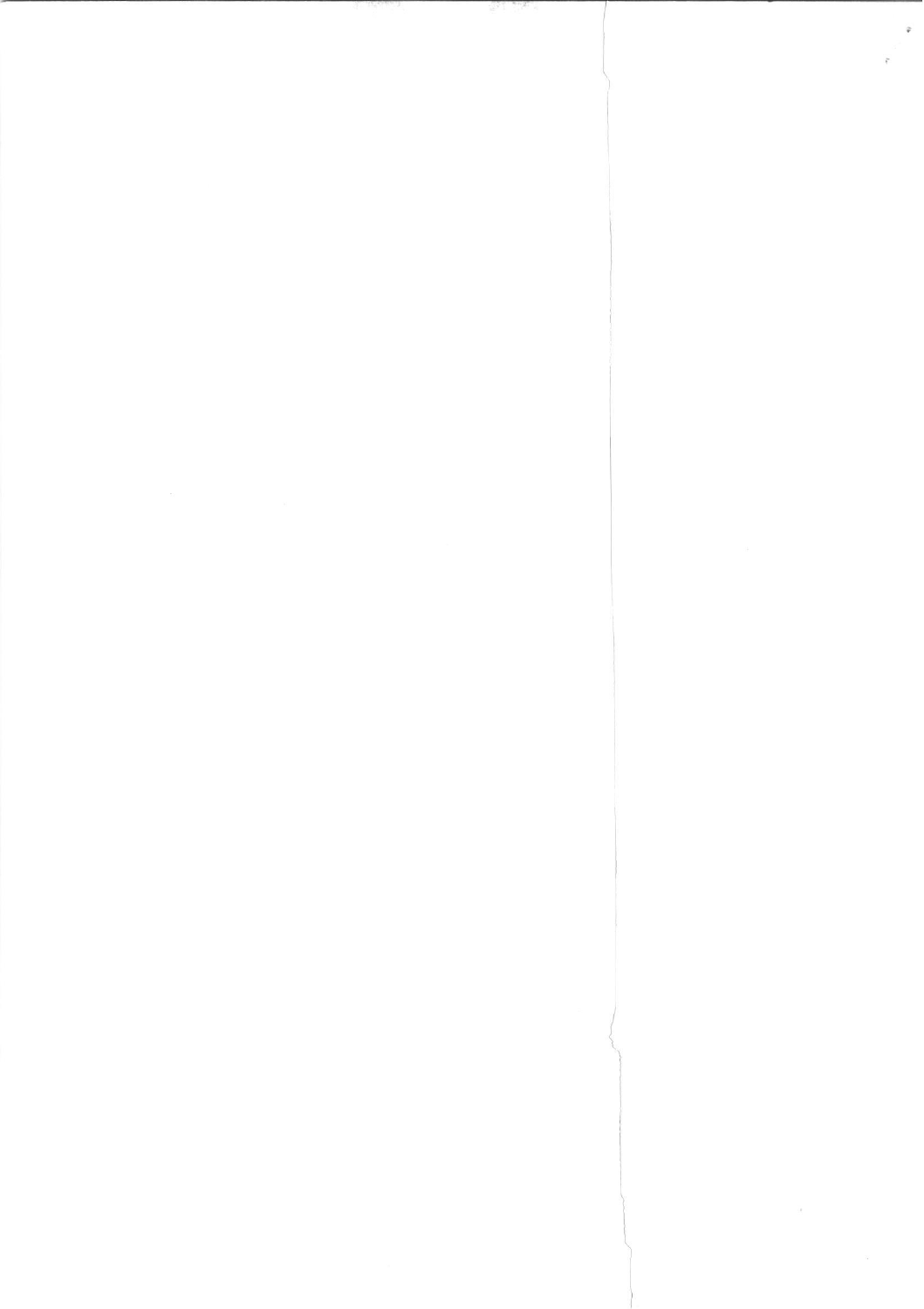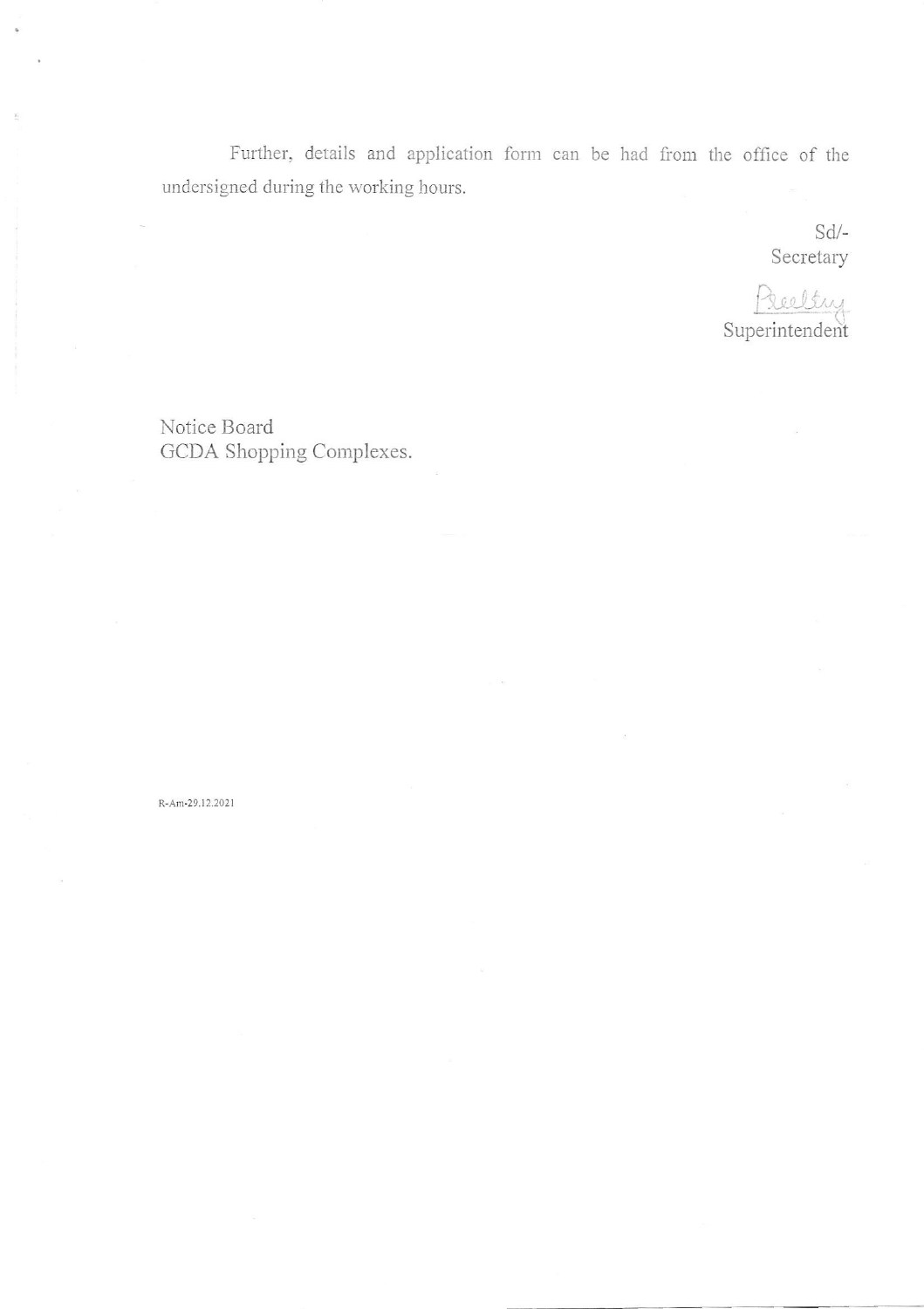Further, details and application form can be had from the office of the undersigned during the working hours.

> $Sd/-$ Secretary

<u>Preelty</u><br>Superintendent

Notice Board GCDA Shopping Complexes.

R-Am-29.12.2021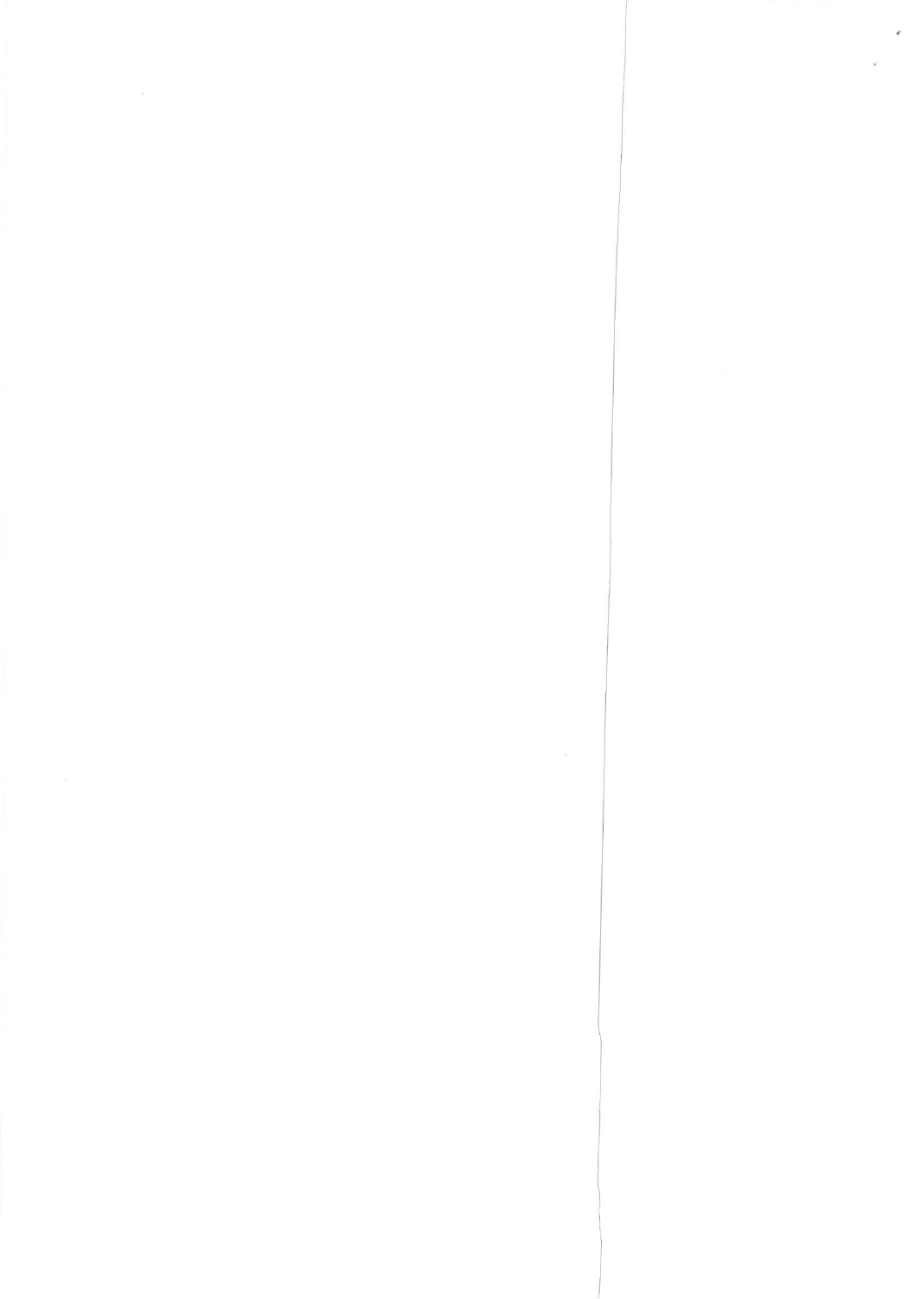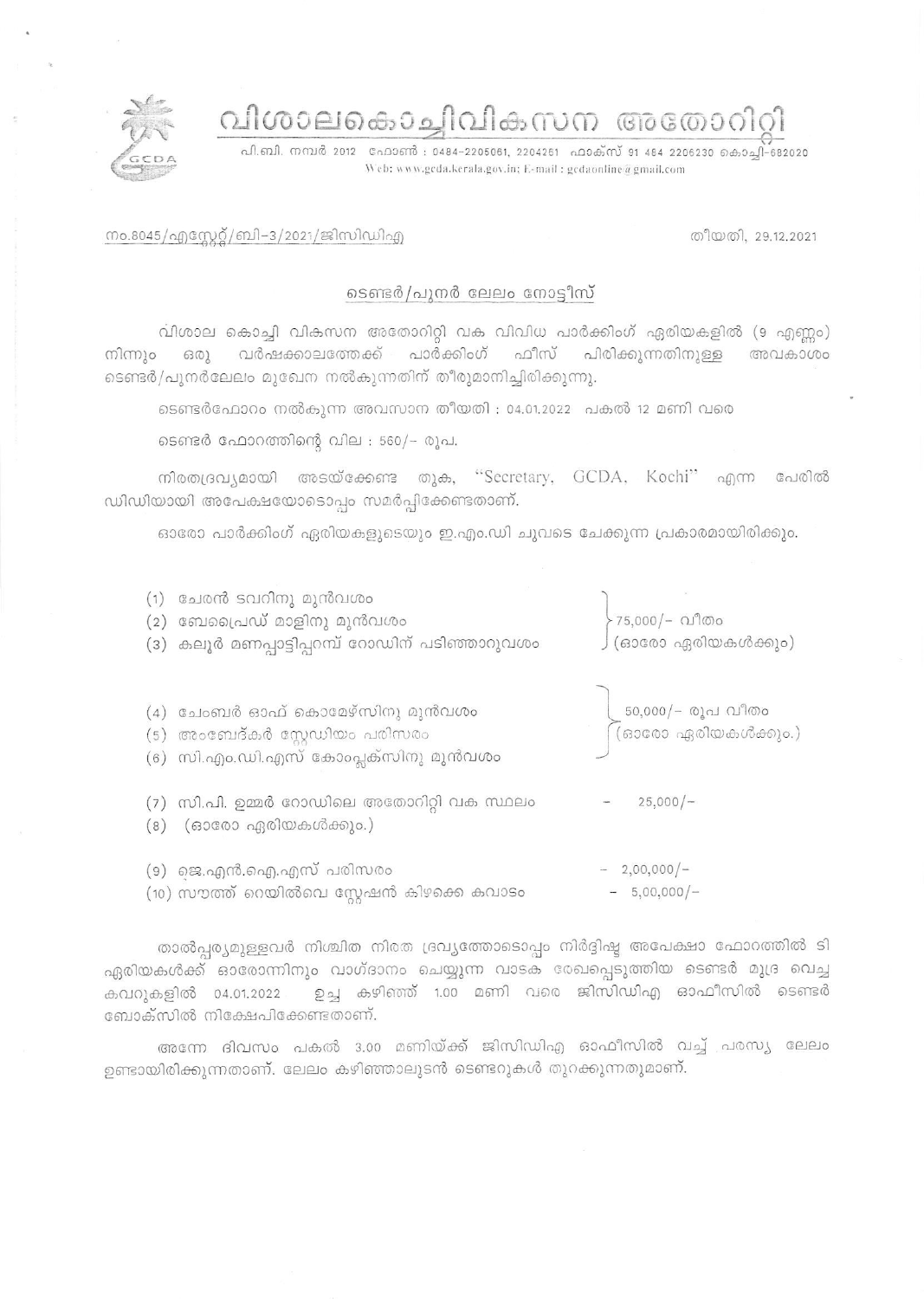

വിശാലകൊച്ചിവികസന അതോറിറ്റി

പി.ബി. നമ്പർ 2012 - ഫോൺ : 0484-2205061, 2204261 - ഫാക്സ് 91 484 2206230 കൊച്ചി-682020 Web: www.gcda.kerala.gov.in; E-mail : gcdaonline@gmail.com

# നം.8045/എസ്റ്റേ/ബി-3/2021/ജിസിഡിഎ

തീയതി, 29.12.2021

## ടെണ്ടർ/പുനർ ലേലം നോട്ടീസ്

വിശാല കൊച്ചി വികസന അതോറിറ്റി വക വിവിധ പാർക്കിംഗ് ഏരിയകളിൽ (9 എണ്ണം) നിന്നും ഒരു വർഷക്കാലത്തേക്ക് പാർക്കിംഗ് ഫീസ് പിരിക്കുന്നതിനുള്ള അവകാശം ടെണ്ടർ/പുനർലേലം മുഖേന നൽകുന്നതിന് തീരുമാനിച്ചിരിക്കുന്നു.

ടെണ്ടർഫോറം നൽകുന്ന അവസാന തീയതി : 04.01.2022 പകൽ 12 മണി വരെ

ടെണ്ടർ ഫോറത്തിന്റെ വില : 560/- രൂപ.

നിരതദ്രവ്യമായി അടയ്ക്കേണ്ട തുക, "Secretary, GCDA, Kochi" എന്ന പേരിൽ ഡിഡിയായി അപേക്ഷയോടൊപ്പം സമർപ്പിക്കേണ്ടതാണ്.

ഓരോ പാർക്കിംഗ് ഏരിയകളുടെയും ഇ.എം.ഡി ചുവടെ ചേക്കുന്ന പ്രകാരമായിരിക്കും.

| (1) ചേരൻ ടവറിനു മുൻവശം<br>(2) ബേപ്രൈഡ് മാളിനു മുൻവശം<br>(3) കലൂർ മണപ്പാട്ടിപ്പറമ്പ് റോഡിന് പടിഞ്ഞാറുവശം   | } 75,000/- വീതം<br>(ഓരോ ഏരിയകൾക്കും) |
|-----------------------------------------------------------------------------------------------------------|--------------------------------------|
| (4) ചേംബർ ഓഫ് കൊമേഴ്സിനു മുൻവശം<br>(5) അംബേദ്കർ സ്റ്റേഡിയം പരിസരം<br>(6) സി.എം.ഡി.എസ് കോംപ്ലക്സിനു മുൻവശം |                                      |
| (7) സി.പി. ഉമ്മർ റോഡിലെ അതോറിറ്റി വക സ്ഥലം<br>$(8)$ $(8)$ $(8)$ $(8)$ $(0)$ $(0)$ $(0)$ $(0)$ $(0)$       | $-25,000/-$                          |
| (9) ജെ.എൻ.ഐ.എസ് പരിസരം<br>(10) സൗത്ത് റെയിൽവെ സ്റ്റേഷൻ കിഴക്കെ കവാടം                                      | $-2,00,000/-$<br>$-5,00,000/-$       |

താൽപ്പര്യമുള്ളവർ നിശ്ചിത നിരത ദ്രവ്യത്തോടൊപ്പം നിർദ്ദിഷ്ട അപേക്ഷാ ഫോറത്തിൽ ടി ഏരിയകൾക്ക് ഓരോന്നിനും വാഗ്ദാനം ചെയ്യുന്ന വാടക രേഖപ്പെടുത്തിയ ടെണ്ടർ മുദ്ര വെച്ച കവറുകളിൽ 04.01.2022 ഉച്ച കഴിഞ്ഞ് 1.00 മണി വരെ ജിസിഡിഎ ഓഫീസിൽ ടെണ്ടർ ബോക്സിൽ നിക്ഷേപിക്കേണ്ടതാണ്.

അന്നേ ദിവസം പകൽ 3.00 മണിയ്ക്ക് ജിസിഡിഎ ഓഫീസിൽ വച്ച് പരസ്യ ലേലം ഉണ്ടായിരിക്കുന്നതാണ്. ലേലം കഴിഞ്ഞാലുടൻ ടെണ്ടറുകൾ തുറക്കുന്നതുമാണ്.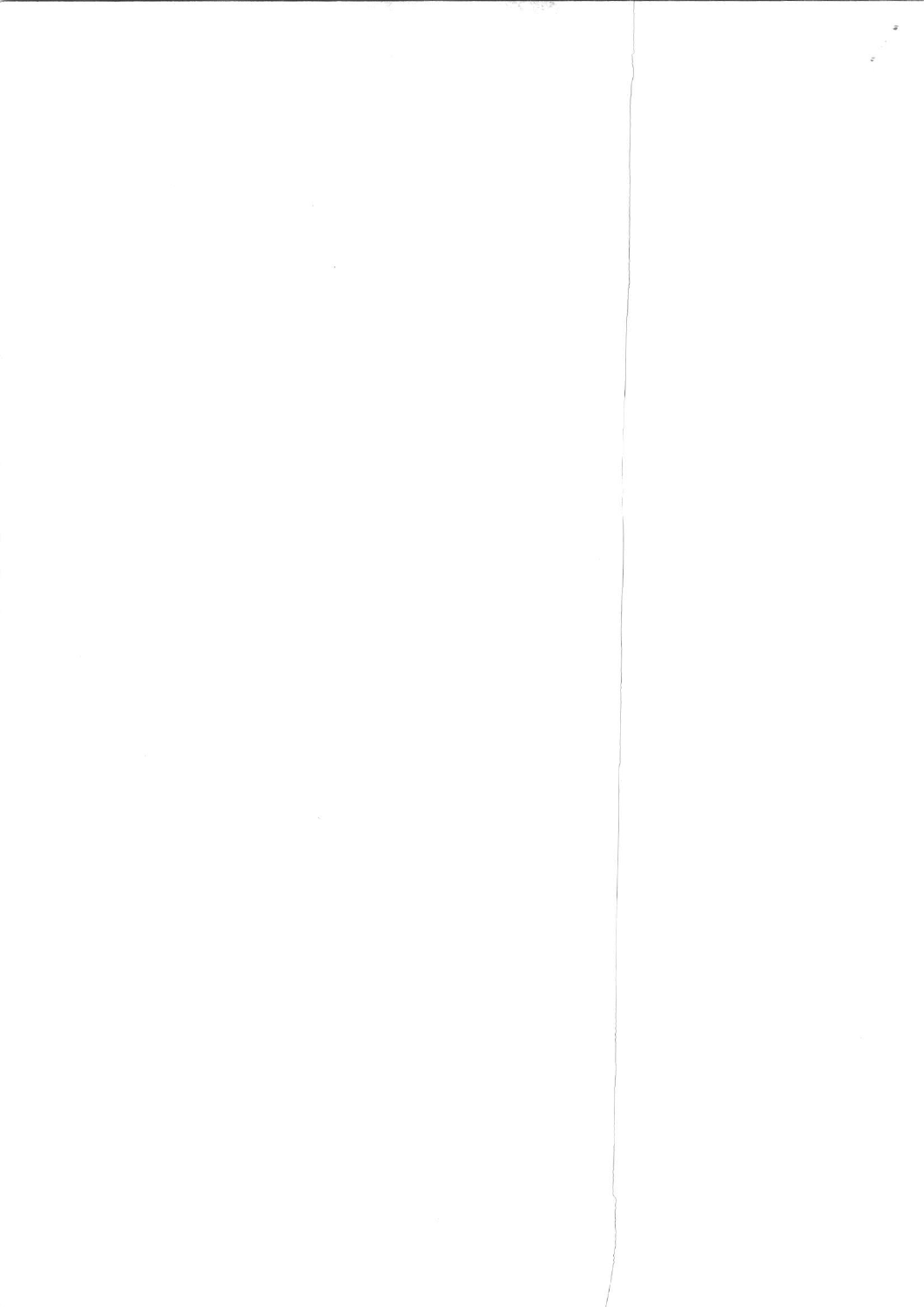